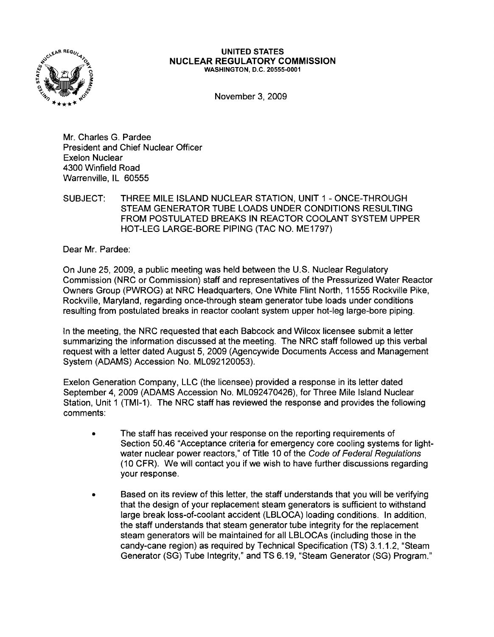

## UNITED STATES NUCLEAR REGULATORY COMMISSION WASHINGTON, D.C. 20555-0001

November 3,2009

Mr. Charles G. Pardee President and Chief Nuclear Officer Exelon Nuclear 4300 Winfield Road Warrenville, IL 60555

SUBJECT: THREE MILE ISLAND NUCLEAR STATION, UNIT 1 - ONCE-THROUGH STEAM GENERATOR TUBE LOADS UNDER CONDITIONS RESULTING FROM POSTULATED BREAKS IN REACTOR COOLANT SYSTEM UPPER HOT-LEG LARGE-BORE PIPING (TAC NO. ME1797)

Dear Mr. Pardee:

On June 25, 2009, a public meeting was held between the U.S. Nuclear Regulatory Commission (NRC or Commission) staff and representatives of the Pressurized Water Reactor Owners Group (PWROG) at NRC Headquarters, One White Flint North, 11555 Rockville Pike, Rockville, Maryland, regarding once-through steam generator tube loads under conditions resulting from postulated breaks in reactor coolant system upper hot-leg large-bore piping.

In the meeting, the NRC requested that each Babcock and Wilcox licensee submit a letter summarizing the information discussed at the meeting. The NRC staff followed up this verbal request with a letter dated August 5, 2009 (Agencywide Documents Access and Management System (ADAMS) Accession No. ML092120053).

Exelon Generation Company, LLC (the licensee) provided a response in its letter dated September 4,2009 (ADAMS Accession No. ML092470426), for Three Mile Island Nuclear Station, Unit 1 (TMI-1). The NRC staff has reviewed the response and provides the following comments:

- The staff has received your response on the reporting requirements of Section 50.46 "Acceptance criteria for emergency core cooling systems for Iightwater nuclear power reactors," of Title 10 of the Code of Federal Regulations (10 CFR). We will contact you if we wish to have further discussions regarding your response.
- Based on its review of this letter, the staff understands that you will be verifying that the design of your replacement steam generators is sufficient to withstand large break loss-of-coolant accident (LBLOCA) loading conditions. In addition, the staff understands that steam generator tube integrity for the replacement steam generators will be maintained for all LBLOCAs (including those in the candy-cane region) as required by Technical Specification (TS) 3.1.1.2, "Steam Generator (SG) Tube Integrity," and TS 6.19, "Steam Generator (SG) Program."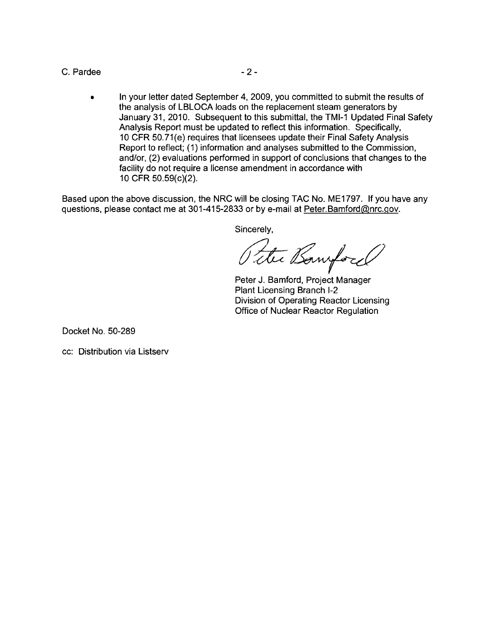## C. Pardee  $-2$  -

• In your letter dated September 4, 2009, you committed to submit the results of the analysis of LBLOCA loads on the replacement steam generators by January 31, 2010. Subsequent to this submittal, the TMI-1 Updated Final Safety Analysis Report must be updated to reflect this information. Specifically, 10 CFR 50.71(e) requires that licensees update their Final Safety Analysis Report to reflect; (1) information and analyses submitted to the Commission, and/or, (2) evaluations performed in support of conclusions that changes to the facility do not require a license amendment in accordance with 10 CFR 50.59(c)(2).

Based upon the above discussion, the NRC will be closing TAC No. ME1797. If you have any questions, please contact me at 301-415-2833 or by e-mail at Peter.Bamford@nrc.gov.

Sincerely,

Peter J. Bamford, Project Manager Plant Licensing Branch 1-2 Division of Operating Reactor Licensing Office of Nuclear Reactor Regulation

Docket No. 50-289

cc: Distribution via Listserv